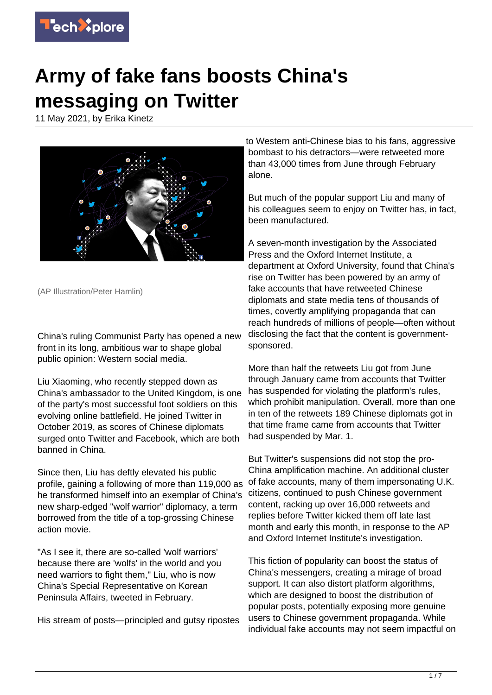

## **Army of fake fans boosts China's messaging on Twitter**

11 May 2021, by Erika Kinetz



(AP Illustration/Peter Hamlin)

China's ruling Communist Party has opened a new front in its long, ambitious war to shape global public opinion: Western social media.

Liu Xiaoming, who recently stepped down as China's ambassador to the United Kingdom, is one of the party's most successful foot soldiers on this evolving online battlefield. He joined Twitter in October 2019, as scores of Chinese diplomats surged onto Twitter and Facebook, which are both banned in China.

Since then, Liu has deftly elevated his public profile, gaining a following of more than 119,000 as he transformed himself into an exemplar of China's new sharp-edged "wolf warrior" diplomacy, a term borrowed from the title of a top-grossing Chinese action movie.

"As I see it, there are so-called 'wolf warriors' because there are 'wolfs' in the world and you need warriors to fight them," Liu, who is now China's Special Representative on Korean Peninsula Affairs, tweeted in February.

His stream of posts—principled and gutsy ripostes

to Western anti-Chinese bias to his fans, aggressive bombast to his detractors—were retweeted more than 43,000 times from June through February alone.

But much of the popular support Liu and many of his colleagues seem to enjoy on Twitter has, in fact, been manufactured.

A seven-month investigation by the Associated Press and the Oxford Internet Institute, a department at Oxford University, found that China's rise on Twitter has been powered by an army of fake accounts that have retweeted Chinese diplomats and state media tens of thousands of times, covertly amplifying propaganda that can reach hundreds of millions of people—often without disclosing the fact that the content is governmentsponsored.

More than half the retweets Liu got from June through January came from accounts that Twitter has suspended for violating the platform's rules, which prohibit manipulation. Overall, more than one in ten of the retweets 189 Chinese diplomats got in that time frame came from accounts that Twitter had suspended by Mar. 1.

But Twitter's suspensions did not stop the pro-China amplification machine. An additional cluster of fake accounts, many of them impersonating U.K. citizens, continued to push Chinese government content, racking up over 16,000 retweets and replies before Twitter kicked them off late last month and early this month, in response to the AP and Oxford Internet Institute's investigation.

This fiction of popularity can boost the status of China's messengers, creating a mirage of broad support. It can also distort platform algorithms, which are designed to boost the distribution of popular posts, potentially exposing more genuine users to Chinese government propaganda. While individual fake accounts may not seem impactful on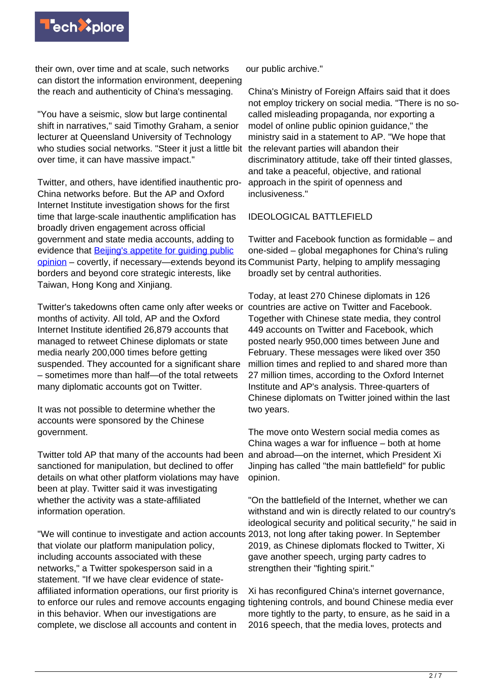

their own, over time and at scale, such networks can distort the information environment, deepening the reach and authenticity of China's messaging.

"You have a seismic, slow but large continental shift in narratives," said Timothy Graham, a senior lecturer at Queensland University of Technology who studies social networks. "Steer it just a little bit over time, it can have massive impact."

Twitter, and others, have identified inauthentic pro-China networks before. But the AP and Oxford Internet Institute investigation shows for the first time that large-scale inauthentic amplification has broadly driven engagement across official government and state media accounts, adding to evidence that **Beijing's appetite for quiding public** [opinion](https://bit.ly/3ezPZal) – covertly, if necessary—extends beyond its Communist Party, helping to amplify messaging borders and beyond core strategic interests, like Taiwan, Hong Kong and Xinjiang.

Twitter's takedowns often came only after weeks or months of activity. All told, AP and the Oxford Internet Institute identified 26,879 accounts that managed to retweet Chinese diplomats or state media nearly 200,000 times before getting suspended. They accounted for a significant share – sometimes more than half—of the total retweets many diplomatic accounts got on Twitter.

It was not possible to determine whether the accounts were sponsored by the Chinese government.

Twitter told AP that many of the accounts had been sanctioned for manipulation, but declined to offer details on what other platform violations may have been at play. Twitter said it was investigating whether the activity was a state-affiliated information operation.

"We will continue to investigate and action accounts 2013, not long after taking power. In September that violate our platform manipulation policy, including accounts associated with these networks," a Twitter spokesperson said in a statement. "If we have clear evidence of stateaffiliated information operations, our first priority is to enforce our rules and remove accounts engaging in this behavior. When our investigations are complete, we disclose all accounts and content in

our public archive."

China's Ministry of Foreign Affairs said that it does not employ trickery on social media. "There is no socalled misleading propaganda, nor exporting a model of online public opinion guidance," the ministry said in a statement to AP. "We hope that the relevant parties will abandon their discriminatory attitude, take off their tinted glasses, and take a peaceful, objective, and rational approach in the spirit of openness and inclusiveness."

## IDEOLOGICAL BATTLEFIELD

Twitter and Facebook function as formidable – and one-sided – global megaphones for China's ruling broadly set by central authorities.

Today, at least 270 Chinese diplomats in 126 countries are active on Twitter and Facebook. Together with Chinese state media, they control 449 accounts on Twitter and Facebook, which posted nearly 950,000 times between June and February. These messages were liked over 350 million times and replied to and shared more than 27 million times, according to the Oxford Internet Institute and AP's analysis. Three-quarters of Chinese diplomats on Twitter joined within the last two years.

The move onto Western social media comes as China wages a war for influence – both at home and abroad—on the internet, which President Xi Jinping has called "the main battlefield" for public opinion.

"On the battlefield of the Internet, whether we can withstand and win is directly related to our country's ideological security and political security," he said in 2019, as Chinese diplomats flocked to Twitter, Xi gave another speech, urging party cadres to strengthen their "fighting spirit."

Xi has reconfigured China's internet governance, tightening controls, and bound Chinese media ever more tightly to the party, to ensure, as he said in a 2016 speech, that the media loves, protects and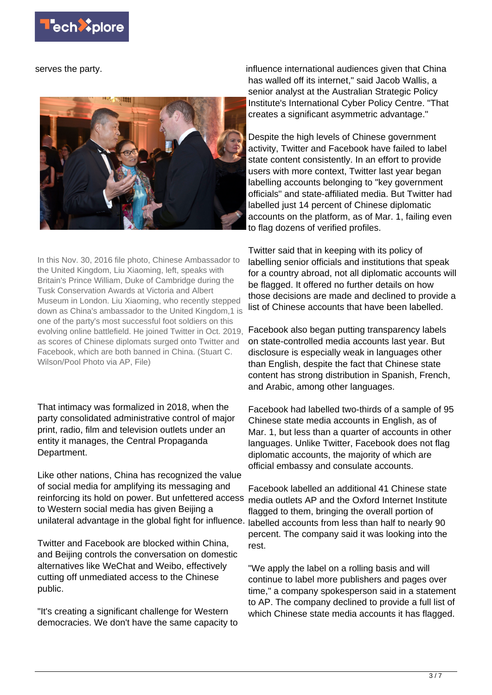

serves the party.



In this Nov. 30, 2016 file photo, Chinese Ambassador to the United Kingdom, Liu Xiaoming, left, speaks with Britain's Prince William, Duke of Cambridge during the Tusk Conservation Awards at Victoria and Albert Museum in London. Liu Xiaoming, who recently stepped down as China's ambassador to the United Kingdom,1 is one of the party's most successful foot soldiers on this evolving online battlefield. He joined Twitter in Oct. 2019, as scores of Chinese diplomats surged onto Twitter and Facebook, which are both banned in China. (Stuart C. Wilson/Pool Photo via AP, File)

That intimacy was formalized in 2018, when the party consolidated administrative control of major print, radio, film and television outlets under an entity it manages, the Central Propaganda Department.

Like other nations, China has recognized the value of social media for amplifying its messaging and reinforcing its hold on power. But unfettered access to Western social media has given Beijing a unilateral advantage in the global fight for influence.

Twitter and Facebook are blocked within China, and Beijing controls the conversation on domestic alternatives like WeChat and Weibo, effectively cutting off unmediated access to the Chinese public.

"It's creating a significant challenge for Western democracies. We don't have the same capacity to influence international audiences given that China has walled off its internet," said Jacob Wallis, a senior analyst at the Australian Strategic Policy Institute's International Cyber Policy Centre. "That creates a significant asymmetric advantage."

Despite the high levels of Chinese government activity, Twitter and Facebook have failed to label state content consistently. In an effort to provide users with more context, Twitter last year began labelling accounts belonging to "key government officials" and state-affiliated media. But Twitter had labelled just 14 percent of Chinese diplomatic accounts on the platform, as of Mar. 1, failing even to flag dozens of verified profiles.

Twitter said that in keeping with its policy of labelling senior officials and institutions that speak for a country abroad, not all diplomatic accounts will be flagged. It offered no further details on how those decisions are made and declined to provide a list of Chinese accounts that have been labelled.

Facebook also began putting transparency labels on state-controlled media accounts last year. But disclosure is especially weak in languages other than English, despite the fact that Chinese state content has strong distribution in Spanish, French, and Arabic, among other languages.

Facebook had labelled two-thirds of a sample of 95 Chinese state media accounts in English, as of Mar. 1, but less than a quarter of accounts in other languages. Unlike Twitter, Facebook does not flag diplomatic accounts, the majority of which are official embassy and consulate accounts.

Facebook labelled an additional 41 Chinese state media outlets AP and the Oxford Internet Institute flagged to them, bringing the overall portion of labelled accounts from less than half to nearly 90 percent. The company said it was looking into the rest.

"We apply the label on a rolling basis and will continue to label more publishers and pages over time," a company spokesperson said in a statement to AP. The company declined to provide a full list of which Chinese state media accounts it has flagged.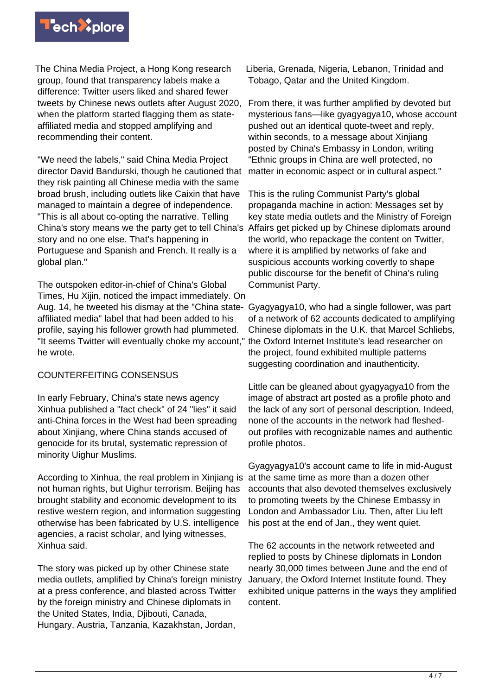

The China Media Project, a Hong Kong research group, found that transparency labels make a difference: Twitter users liked and shared fewer tweets by Chinese news outlets after August 2020, when the platform started flagging them as stateaffiliated media and stopped amplifying and recommending their content.

"We need the labels," said China Media Project director David Bandurski, though he cautioned that they risk painting all Chinese media with the same broad brush, including outlets like Caixin that have managed to maintain a degree of independence. "This is all about co-opting the narrative. Telling China's story means we the party get to tell China's Affairs get picked up by Chinese diplomats around story and no one else. That's happening in Portuguese and Spanish and French. It really is a global plan."

The outspoken editor-in-chief of China's Global Times, Hu Xijin, noticed the impact immediately. On Aug. 14, he tweeted his dismay at the "China state-Gyagyagya10, who had a single follower, was part affiliated media" label that had been added to his profile, saying his follower growth had plummeted. "It seems Twitter will eventually choke my account," he wrote.

## COUNTERFEITING CONSENSUS

In early February, China's state news agency Xinhua published a "fact check" of 24 "lies" it said anti-China forces in the West had been spreading about Xinjiang, where China stands accused of genocide for its brutal, systematic repression of minority Uighur Muslims.

According to Xinhua, the real problem in Xinjiang is at the same time as more than a dozen other not human rights, but Uighur terrorism. Beijing has brought stability and economic development to its restive western region, and information suggesting otherwise has been fabricated by U.S. intelligence agencies, a racist scholar, and lying witnesses, Xinhua said.

The story was picked up by other Chinese state media outlets, amplified by China's foreign ministry at a press conference, and blasted across Twitter by the foreign ministry and Chinese diplomats in the United States, India, Djibouti, Canada, Hungary, Austria, Tanzania, Kazakhstan, Jordan,

Liberia, Grenada, Nigeria, Lebanon, Trinidad and Tobago, Qatar and the United Kingdom.

From there, it was further amplified by devoted but mysterious fans—like gyagyagya10, whose account pushed out an identical quote-tweet and reply, within seconds, to a message about Xinjiang posted by China's Embassy in London, writing "Ethnic groups in China are well protected, no matter in economic aspect or in cultural aspect."

This is the ruling Communist Party's global propaganda machine in action: Messages set by key state media outlets and the Ministry of Foreign the world, who repackage the content on Twitter, where it is amplified by networks of fake and suspicious accounts working covertly to shape public discourse for the benefit of China's ruling Communist Party.

of a network of 62 accounts dedicated to amplifying Chinese diplomats in the U.K. that Marcel Schliebs, the Oxford Internet Institute's lead researcher on the project, found exhibited multiple patterns suggesting coordination and inauthenticity.

Little can be gleaned about gyagyagya10 from the image of abstract art posted as a profile photo and the lack of any sort of personal description. Indeed, none of the accounts in the network had fleshedout profiles with recognizable names and authentic profile photos.

Gyagyagya10's account came to life in mid-August accounts that also devoted themselves exclusively to promoting tweets by the Chinese Embassy in London and Ambassador Liu. Then, after Liu left his post at the end of Jan., they went quiet.

The 62 accounts in the network retweeted and replied to posts by Chinese diplomats in London nearly 30,000 times between June and the end of January, the Oxford Internet Institute found. They exhibited unique patterns in the ways they amplified content.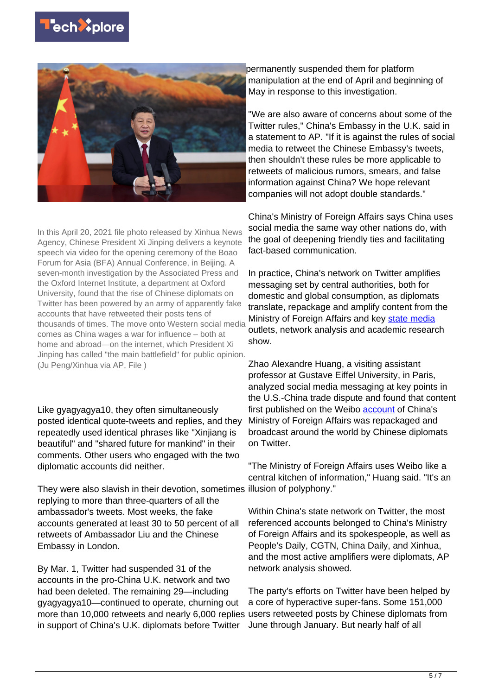



In this April 20, 2021 file photo released by Xinhua News Agency, Chinese President Xi Jinping delivers a keynote speech via video for the opening ceremony of the Boao Forum for Asia (BFA) Annual Conference, in Beijing. A seven-month investigation by the Associated Press and the Oxford Internet Institute, a department at Oxford University, found that the rise of Chinese diplomats on Twitter has been powered by an army of apparently fake accounts that have retweeted their posts tens of thousands of times. The move onto Western social media comes as China wages a war for influence – both at home and abroad—on the internet, which President Xi Jinping has called "the main battlefield" for public opinion. (Ju Peng/Xinhua via AP, File )

Like gyagyagya10, they often simultaneously posted identical quote-tweets and replies, and they repeatedly used identical phrases like "Xinjiang is beautiful" and "shared future for mankind" in their comments. Other users who engaged with the two diplomatic accounts did neither.

They were also slavish in their devotion, sometimes illusion of polyphony." replying to more than three-quarters of all the ambassador's tweets. Most weeks, the fake accounts generated at least 30 to 50 percent of all retweets of Ambassador Liu and the Chinese Embassy in London.

By Mar. 1, Twitter had suspended 31 of the accounts in the pro-China U.K. network and two had been deleted. The remaining 29—including gyagyagya10—continued to operate, churning out more than 10,000 retweets and nearly 6,000 replies users retweeted posts by Chinese diplomats from in support of China's U.K. diplomats before Twitter

permanently suspended them for platform manipulation at the end of April and beginning of May in response to this investigation.

"We are also aware of concerns about some of the Twitter rules," China's Embassy in the U.K. said in a statement to AP. "If it is against the rules of social media to retweet the Chinese Embassy's tweets, then shouldn't these rules be more applicable to retweets of malicious rumors, smears, and false information against China? We hope relevant companies will not adopt double standards."

China's Ministry of Foreign Affairs says China uses social media the same way other nations do, with the goal of deepening friendly ties and facilitating fact-based communication.

In practice, China's network on Twitter amplifies messaging set by central authorities, both for domestic and global consumption, as diplomats translate, repackage and amplify content from the Ministry of Foreign Affairs and key [state media](https://techxplore.com/tags/state+media/) outlets, network analysis and academic research show.

Zhao Alexandre Huang, a visiting assistant professor at Gustave Eiffel University, in Paris, analyzed social media messaging at key points in the U.S.-China trade dispute and found that content first published on the Weibo **account** of China's Ministry of Foreign Affairs was repackaged and broadcast around the world by Chinese diplomats on Twitter.

"The Ministry of Foreign Affairs uses Weibo like a central kitchen of information," Huang said. "It's an

Within China's state network on Twitter, the most referenced accounts belonged to China's Ministry of Foreign Affairs and its spokespeople, as well as People's Daily, CGTN, China Daily, and Xinhua, and the most active amplifiers were diplomats, AP network analysis showed.

The party's efforts on Twitter have been helped by a core of hyperactive super-fans. Some 151,000 June through January. But nearly half of all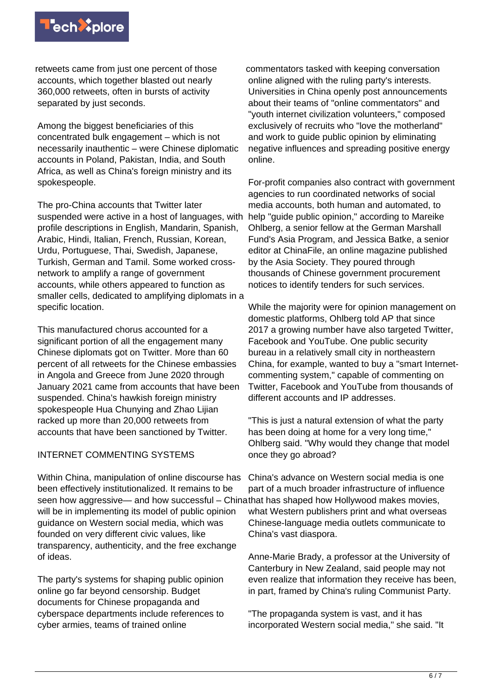

retweets came from just one percent of those accounts, which together blasted out nearly 360,000 retweets, often in bursts of activity separated by just seconds.

Among the biggest beneficiaries of this concentrated bulk engagement – which is not necessarily inauthentic – were Chinese diplomatic accounts in Poland, Pakistan, India, and South Africa, as well as China's foreign ministry and its spokespeople.

The pro-China accounts that Twitter later suspended were active in a host of languages, with help "guide public opinion," according to Mareike profile descriptions in English, Mandarin, Spanish, Arabic, Hindi, Italian, French, Russian, Korean, Urdu, Portuguese, Thai, Swedish, Japanese, Turkish, German and Tamil. Some worked crossnetwork to amplify a range of government accounts, while others appeared to function as smaller cells, dedicated to amplifying diplomats in a specific location.

This manufactured chorus accounted for a significant portion of all the engagement many Chinese diplomats got on Twitter. More than 60 percent of all retweets for the Chinese embassies in Angola and Greece from June 2020 through January 2021 came from accounts that have been suspended. China's hawkish foreign ministry spokespeople Hua Chunying and Zhao Lijian racked up more than 20,000 retweets from accounts that have been sanctioned by Twitter.

## INTERNET COMMENTING SYSTEMS

Within China, manipulation of online discourse has been effectively institutionalized. It remains to be seen how aggressive— and how successful – Chinathat has shaped how Hollywood makes movies, will be in implementing its model of public opinion guidance on Western social media, which was founded on very different civic values, like transparency, authenticity, and the free exchange of ideas.

The party's systems for shaping public opinion online go far beyond censorship. Budget documents for Chinese propaganda and cyberspace departments include references to cyber armies, teams of trained online

commentators tasked with keeping conversation online aligned with the ruling party's interests. Universities in China openly post announcements about their teams of "online commentators" and "youth internet civilization volunteers," composed exclusively of recruits who "love the motherland" and work to guide public opinion by eliminating negative influences and spreading positive energy online.

For-profit companies also contract with government agencies to run coordinated networks of social media accounts, both human and automated, to Ohlberg, a senior fellow at the German Marshall Fund's Asia Program, and Jessica Batke, a senior editor at ChinaFile, an online magazine published by the Asia Society. They poured through thousands of Chinese government procurement notices to identify tenders for such services.

While the majority were for opinion management on domestic platforms, Ohlberg told AP that since 2017 a growing number have also targeted Twitter. Facebook and YouTube. One public security bureau in a relatively small city in northeastern China, for example, wanted to buy a "smart Internetcommenting system," capable of commenting on Twitter, Facebook and YouTube from thousands of different accounts and IP addresses.

"This is just a natural extension of what the party has been doing at home for a very long time," Ohlberg said. "Why would they change that model once they go abroad?

China's advance on Western social media is one part of a much broader infrastructure of influence what Western publishers print and what overseas Chinese-language media outlets communicate to China's vast diaspora.

Anne-Marie Brady, a professor at the University of Canterbury in New Zealand, said people may not even realize that information they receive has been, in part, framed by China's ruling Communist Party.

"The propaganda system is vast, and it has incorporated Western social media," she said. "It